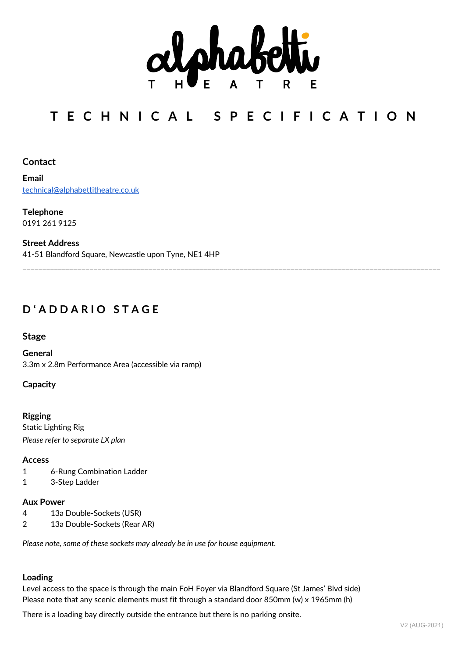

# **T E C H N I C A L S P E C I F I C A T I O N**

\_\_\_\_\_\_\_\_\_\_\_\_\_\_\_\_\_\_\_\_\_\_\_\_\_\_\_\_\_\_\_\_\_\_\_\_\_\_\_\_\_\_\_\_\_\_\_\_\_\_\_\_\_\_\_\_\_\_\_\_\_\_\_\_\_\_\_\_\_\_\_\_\_\_\_\_\_\_\_\_\_\_\_\_\_\_\_\_\_\_\_\_\_\_\_\_\_\_\_\_\_\_\_\_\_\_

# **Contact**

**Email** technical@alphabettitheatre.co.uk

**Telephone** 0191 261 9125

**Street Address** 41-51 Blandford Square, Newcastle upon Tyne, NE1 4HP

# **D ' A D D A R I O S T A G E**

## **Stage**

**General** 3.3m x 2.8m Performance Area (accessible via ramp)

### **Capacity**

**Rigging** Static Lighting Rig *Please refer to separate LX plan*

#### **Access**

- 1 6-Rung Combination Ladder
- 1 3-Step Ladder

#### **Aux Power**

- 4 13a Double-Sockets (USR)
- 2 13a Double-Sockets (Rear AR)

*Please note, some of these sockets may already be in use for house equipment.*

#### **Loading**

Level access to the space is through the main FoH Foyer via Blandford Square (St James' Blvd side) Please note that any scenic elements must fit through a standard door 850mm (w) x 1965mm (h)

There is a loading bay directly outside the entrance but there is no parking onsite.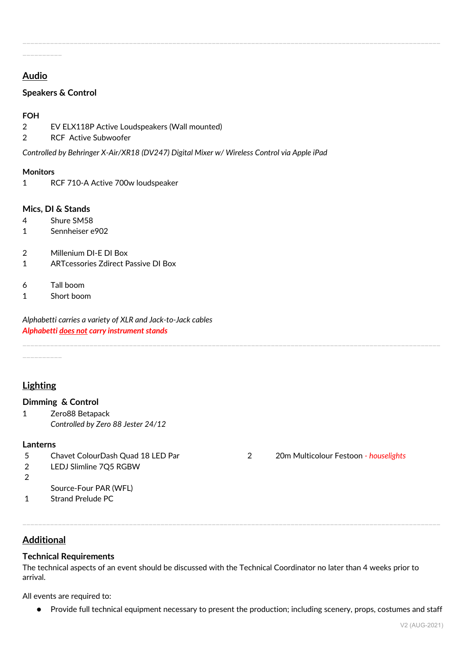# **Audio**

\_\_\_\_\_\_\_\_\_\_

# **Speakers & Control**

## **FOH**

- 2 EV ELX118P Active Loudspeakers (Wall mounted)
- 2 RCF Active Subwoofer

*Controlled by Behringer X-Air/XR18 (DV247) Digital Mixer w/ Wireless Control via Apple iPad*

\_\_\_\_\_\_\_\_\_\_\_\_\_\_\_\_\_\_\_\_\_\_\_\_\_\_\_\_\_\_\_\_\_\_\_\_\_\_\_\_\_\_\_\_\_\_\_\_\_\_\_\_\_\_\_\_\_\_\_\_\_\_\_\_\_\_\_\_\_\_\_\_\_\_\_\_\_\_\_\_\_\_\_\_\_\_\_\_\_\_\_\_\_\_\_\_\_\_\_\_\_\_\_\_\_\_

#### **Monitors**

1 RCF 710-A Active 700w loudspeaker

#### **Mics, DI & Stands**

- 4 Shure SM58
- 1 Sennheiser e902
- 2 Millenium DI-E DI Box
- 1 ARTcessories Zdirect Passive DI Box
- 6 Tall boom
- 1 Short boom

*Alphabetti carries a variety of XLR and Jack-to-Jack cables Alphabetti does not carry instrument stands*

\_\_\_\_\_\_\_\_\_\_

# **Lighting**

#### **Dimming & Control**

1 Zero88 Betapack *Controlled by Zero 88 Jester 24/12* 

## **Lanterns**

- 
- 2 LEDJ Slimline 7Q5 RGBW
- $\overline{2}$
- Source-Four PAR (WFL)
- 1 Strand Prelude PC

# **Additional**

# **Technical Requirements**

The technical aspects of an event should be discussed with the Technical Coordinator no later than 4 weeks prior to arrival.

\_\_\_\_\_\_\_\_\_\_\_\_\_\_\_\_\_\_\_\_\_\_\_\_\_\_\_\_\_\_\_\_\_\_\_\_\_\_\_\_\_\_\_\_\_\_\_\_\_\_\_\_\_\_\_\_\_\_\_\_\_\_\_\_\_\_\_\_\_\_\_\_\_\_\_\_\_\_\_\_\_\_\_\_\_\_\_\_\_\_\_\_\_\_\_\_\_\_\_\_\_\_\_\_\_\_

\_\_\_\_\_\_\_\_\_\_\_\_\_\_\_\_\_\_\_\_\_\_\_\_\_\_\_\_\_\_\_\_\_\_\_\_\_\_\_\_\_\_\_\_\_\_\_\_\_\_\_\_\_\_\_\_\_\_\_\_\_\_\_\_\_\_\_\_\_\_\_\_\_\_\_\_\_\_\_\_\_\_\_\_\_\_\_\_\_\_\_\_\_\_\_\_\_\_\_\_\_\_\_\_\_\_

All events are required to:

● Provide full technical equipment necessary to present the production; including scenery, props, costumes and staff

5 Chavet ColourDash Quad 18 LED Par 2 20m Multicolour Festoon *- houselights*